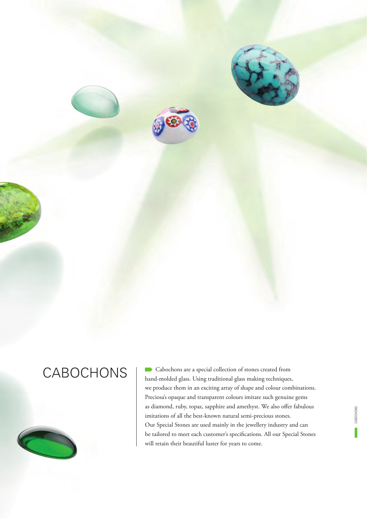



CABOCHONS Cabochons are a special collection of stones created from hand-molded glass. Using traditional glass making techniques, we produce them in an exciting array of shape and colour combinations. Preciosa's opaque and transparent colours imitate such genuine gems as diamond, ruby, topaz, sapphire and amethyst. We also offer fabulous imitations of all the best-known natural semi-precious stones. Our Special Stones are used mainly in the jewellery industry and can be tailored to meet each customer's specifications. All our Special Stones will retain their beautiful luster for years to come.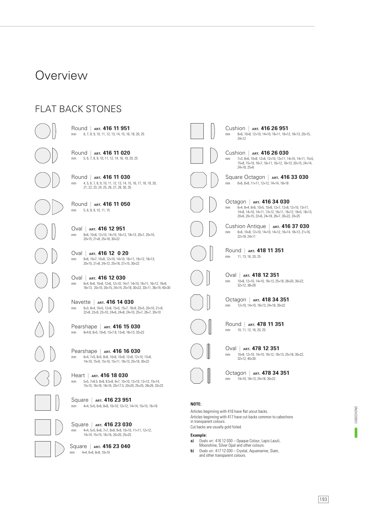### **Overview**

### FLAT BACK STONES

mm 6, 7, 8, 9, 10, 11, 12, 13, 14, 15, 16, 18, 20, 25 Round | **ART. 416 11 951**

mm 5, 6, 7, 8, 9, 10, 11, 12, 14, 16, 18, 20, 25 Round | **ART. 416 11 020**

mm 4, 5, 6, 7, 8, 9, 10, 11, 12, 13, 14, 15, 16, 17, 18, 19, 20, 21, 22, 23, 24, 25, 26, 27, 28, 30, 35 Round | **ART. 416 11 030**

mm 5, 6, 8, 9, 10, 11, 15 Round | **ART. 416 11 050**

mm 8×6, 10×8, 12×10, 14×10, 16×12, 18×13, 20×7, 20×10, 20×15, 21×8, 25×18, 30×22 Oval | **ART. 416 12 951**

mm 8×6, 10×7, 10×8, 12×10, 14×10, 16×11, 16×12, 18×13, 20×15, 21×8, 24×12, 25×18, 27×15, 30×22 Oval | **ART. 416 12 0 20**

mm 6×4, 8×6, 10×8, 12×6, 12×10, 14×7, 14×10, 16×11, 16×12, 18×9, 18×13, 20×10, 20×15, 24×14, 25×18, 30×22, 33×11, 36×19, 40×30 Oval | **ART. 416 12 030**

mm 6×3, 8×4, 10×5, 12×6, 15×5, 15×7, 18×9, 20×5, 20×10, 21×9, 22×8, 22×9, 22×10, 24×6, 24×8, 24×10, 25×7, 26×7, 30×10 Navette | **ART. 416 14 030**

mm 8×4.8, 8×5, 10×6, 13×7.8, 13×8, 18×13, 33×22 Pearshape | **ART. 416 15 030**

mm 6×4, 7×5, 8×5, 8×6, 10×6, 10×8, 12×8, 12×10, 13×8, 14×10, 15×9, 15×10, 15×11, 18×13, 25×18, 30×22 Pearshape | **ART. 416 16 030**

mm 5×5, 7×6.5, 8×8, 8.5×8, 9×7, 10×10, 12×10, 12×12, 15×14, 15×15, 16×16, 18×16, 20×17.5, 20×20, 25×25, 28×26, 33×23 Heart | **ART. 416 18 030**

mm 4×4, 5×5, 6×6, 8×8, 10×10, 12×12, 14×14, 15×15, 16×16 Square | **ART. 416 23 951**

mm 4×4, 5×5, 6×6, 7×7, 8×8, 9×9, 10×10, 11×11, 12×12, 14×14, 15×15, 16×16, 20×20, 25×25 Square | **ART. 416 23 030**

mm  $4\times4, 6\times6, 8\times8, 10\times10$ Square | **ART. 416 23 040**



mm 8×6, 10×8, 12×10, 14×10, 16×11, 16×12, 18×13, 20×15,  $24 \times 12$ Cushion | **ART. 416 26 951**



mm 7×3, 8×6, 10×8, 12×6, 12×10, 13×11, 14×10, 14×11, 15×5, 15×8, 15×10, 16×7, 16×11, 16×12, 18×13, 20×15, 24×14, 24×18, 25×6 Cushion | **ART. 416 26 030**

mm 6×6, 8×8, 11×11, 12×12, 14×14, 18×18 Square Octagon | **ART. 416 33 030**



14×8, 14×10, 14×11, 13×12, 16×11, 16×12, 18×5, 18×13, 20×6, 20×15, 22×6, 24×18, 26×7, 30×22, 33×25 Cushion Antique | **ART. 416 37 030**

mm 8×6, 10×8, 12×10, 14×10, 14×12, 16×14, 18×13, 21×16,  $22 \times 18$ ,  $24 \times 11$ 





mm 10×8, 12×10, 14×10, 18×13, 25×18, 28×20, 30×22, 32×12, 38×28 Oval | **ART. 418 12 351**

mm 12×10, 14×10, 18×13, 24×18, 30×22 Octagon | **ART. 418 34 351**

mm 10, 11, 12, 16, 20, 25 Round | **ART. 478 11 351**



mm 10×8, 12×10, 14×10, 16×12, 18×13, 25×18, 30×22, 32×12, 40×30 Oval | **ART. 478 12 351**

mm 14×10, 18×13, 24×18, 30×22 Octagon | **ART. 478 34 351**

#### **NOTE:**

Articles beginning with 416 have flat uncut backs. Articles beginning with 417 have cut backs common to cabochons in transparent colours. Cut backs are usually gold foiled.

#### **Example:**

- **a)** Ovals ART. 416 12 030 Opaque Colour, Lapis Lazuli, Moonshine, Silver Opal and other colours.
- **b)** Ovals ART. 417 12 030 Crystal, Aquamarine, Siam, and other transparent colours.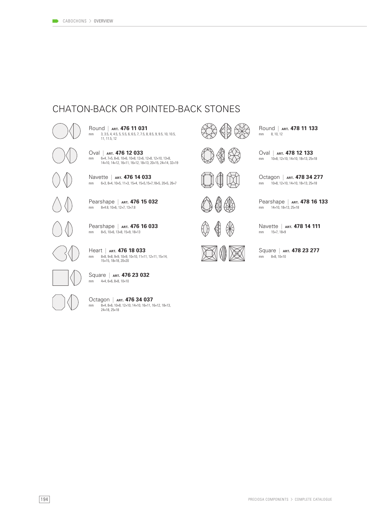### CHATON-BACK OR POINTED-BACK STONES

mm 6×4, 7×5, 8×6, 10×6, 10×8, 12×6, 12×8, 12×10, 13×8, 14×10, 14×12, 16×11, 16×12, 18×13, 20×15, 24×14, 32×19 Oval | **ART. 476 12 033**<br>mm  $6\times4$ , 7×5, 8×6, 10×6, 10×8, 12×6,

mm 3, 3.5, 4, 4.5, 5, 5.5, 6, 6.5, 7, 7.5, 8, 8.5, 9, 9.5, 10, 10.5, 11, 11.5, 12

Round | **ART. 476 11 031**

mm 6×3, 8×4, 10×5, 11×3, 15×4, 15×5,15×7,18×5, 20×5, 26×7 Navette | **ART. 476 14 033**

mm 8×4.8, 10×6, 12×7, 13×7.8 Pearshape | **ART. 476 15 032**

mm 8×5, 10×6, 13×8, 15×9, 18×13 Pearshape | **ART. 476 16 033**

mm 8×8, 9×8, 9×9, 10×9, 10×10, 11×11, 12×11, 15×14,<br>15×15, 18×18, 20×20 Heart | **ART. 476 18 033**

mm 4×4, 6×6, 8×8, 10×10 Square | **ART. 476 23 032**

mm 8×4, 8×6, 10×8, 12×10, 14×10, 16×11, 16×12, 18×13, 24×18, 25×18 Octagon | **ART. 476 34 037**



mm 8, 10, 12 Round | **ART. 478 11 133**

mm 10×8, 12×10, 14×10, 18×13, 25×18 Oval | **ART. 478 12 133**

mm 10×8, 12×10, 14×10, 18×13, 25×18

Octagon | **ART. 478 34 277**

Pearshape | **ART. 478 16 133**

mm 14×10, 18×13, 25×18



mm 15×7, 18×9 Navette | **ART. 478 14 111**



mm 8×8, 10×10 Square | **ART. 478 23 277**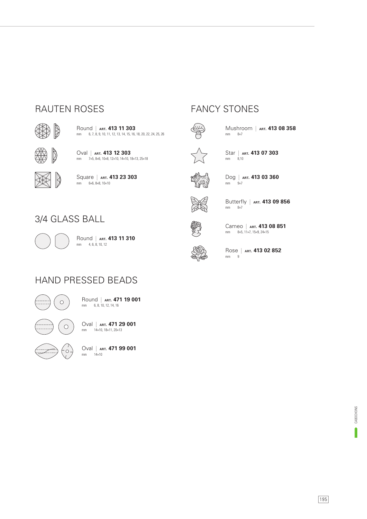### RAUTEN ROSES FANCY STONES



mm 6, 7, 8, 9, 10, 11, 12, 13, 14, 15, 16, 18, 20, 22, 24, 25, 26 Round | **ART. 413 11 303**



mm 7×5, 8×6, 10×8, 12×10, 14×10, 18×13, 25×18 Oval | **ART. 413 12 303**



mm 6×6, 8×8, 10×10 Square | **ART. 413 23 303**



mm  $8\times7$ Mushroom | **ART. 413 08 358**



mm 8,10 Star | **ART. 413 07 303**



mm  $9\times7$ Dog | **ART. 413 03 360**



mm 8×7 Butterfly | **ART. 413 09 856**



mm 8×5, 11×7, 15×9, 24×15 Cameo | **ART. 413 08 851**



mm 9 Rose | **ART. 413 02 852**

### 3/4 GLASS BALL



mm 4, 6, 8, 10, 12 Round | **ART. 413 11 310**





mm 6, 8, 10, 12, 14, 16 Round | **ART. 471 19 001**



 $\circ$ 

mm 14×10, 18×11, 20×13 Oval | **ART. 471 29 001**

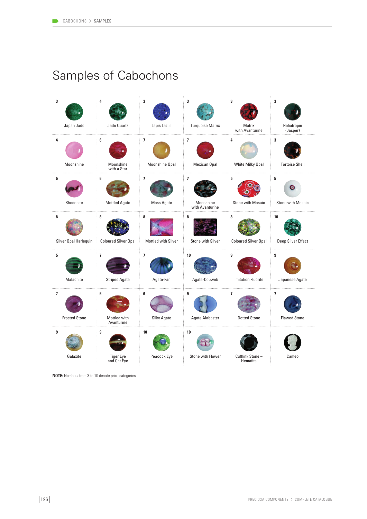# Samples of Cabochons

| 3<br>Japan Jade            | 4<br>Jade Quartz                       | 3<br>Lapis Lazuli        | 3<br><b>Turquoise Matrix</b>         | 3<br>Matrix<br>with Avanturine                  | 3<br>Heliotropin<br>(Jasper)                    |
|----------------------------|----------------------------------------|--------------------------|--------------------------------------|-------------------------------------------------|-------------------------------------------------|
| 4<br>Moonshine             | 6<br>Moonshine<br>with a Star          | 7<br>Moonshine Opal      | 7<br>Mexican Opal                    | 4<br>White Milky Opal                           | 3<br><b>Tortoise Shell</b>                      |
| 5<br>Rhodonite             | 6<br><b>Mottled Agate</b>              | 7<br>Moss Agate          | 7<br>Moonshine<br>with Avanturine    | 5<br><b>Stone with Mosaic</b>                   | 5<br><b>Stone with Mosaic</b>                   |
| 8<br>Silver Opal Harlequin | 8<br><b>Coloured Silver Opal</b><br>÷  | 8<br>Mottled with Silver | 8<br>Stone with Silver               | 8<br>Coloured Silver Opal                       | 10<br>Deep Silver Effect                        |
| 5<br>Malachite             | $\overline{ }$<br><b>Striped Agate</b> | 7<br>Agate-Fan           | 10<br>Agate-Cobweb                   | 9<br><b>Imitation Fluorite</b>                  | 9<br>Japanese Agate                             |
| 7<br><b>Frosted Stone</b>  | 6<br>Mottled with<br>Avanturine        | 6<br>Silky Agate         | 9<br><b>Agate Alabaster</b><br>di se | $\overline{\phantom{a}}$<br><b>Dotted Stone</b> | $\overline{\phantom{a}}$<br><b>Flawed Stone</b> |
| 9<br>Galaxite              | 9<br><b>Tiger Eye</b><br>and Cat Eye   | 10<br>Peacock Eye        | 10<br>Stone with Flower              | Cufflink Stone-<br>Hematite                     | Cameo                                           |

**NOTE:** Numbers from 3 to 10 denote price categories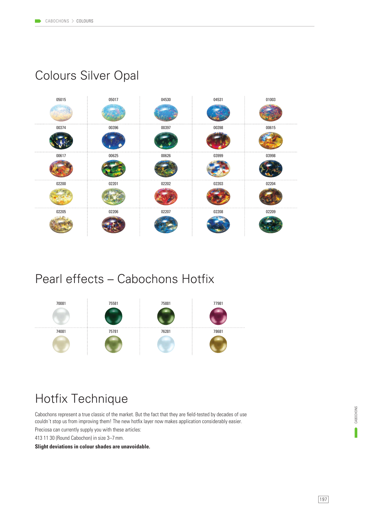### Colours Silver Opal



### Pearl effects – Cabochons Hotfix



## Hotfix Technique

Cabochons represent a true classic of the market. But the fact that they are field-tested by decades of use couldn´t stop us from improving them! The new hotfix layer now makes application considerably easier.

Preciosa can currently supply you with these articles:

413 11 30 (Round Cabochon) in size 3–7 mm.

**Slight deviations in colour shades are unavoidable.**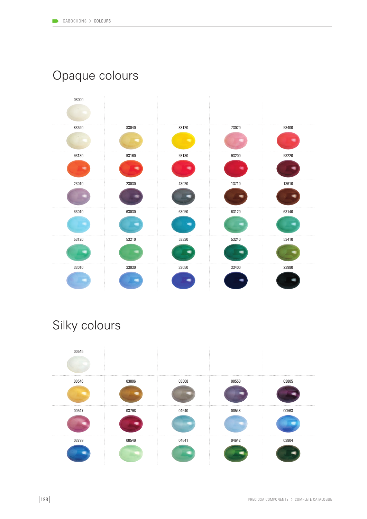# Opaque colours



# Silky colours

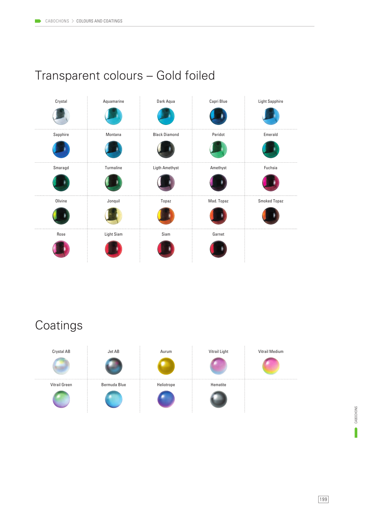# Transparent colours – Gold foiled



# **Coatings**

| Crystal AB    | Jet AB       | Aurum      | Vitrail Light | Vitrail Medium |
|---------------|--------------|------------|---------------|----------------|
|               |              |            |               |                |
| Vitrail Green | Bermuda Blue | Heliotrope | Hematite      |                |
|               |              |            |               |                |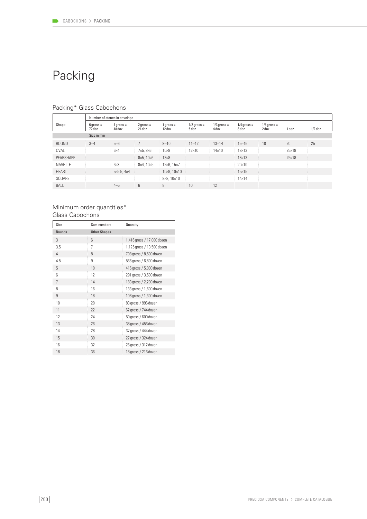# Packing

|                | Number of stones in envelope |                           |                       |                          |                        |                        |                        |                        |              |           |
|----------------|------------------------------|---------------------------|-----------------------|--------------------------|------------------------|------------------------|------------------------|------------------------|--------------|-----------|
| Shape          | $6$ gross =<br>72 doz        | $4$ qross =<br>48 doz     | $2$ qross =<br>24 doz | $1$ gross =<br>12 doz    | $1/2$ gross =<br>6 doz | $1/3$ gross =<br>4 doz | $1/4$ gross =<br>3 doz | $1/6$ gross =<br>2 doz | 1 doz        | $1/2$ doz |
|                | Size in mm                   |                           |                       |                          |                        |                        |                        |                        |              |           |
| ROUND          | $3 - 4$                      | $5 - 6$                   | $\frac{1}{2}$         | $8 - 10$                 | $11 - 12$              | $13 - 14$              | $15 - 16$              | 18                     | 20           | 25        |
| <b>OVAL</b>    |                              | $6\times4$                | $7\times5, 8\times6$  | $10\times8$              | $12\times10$           | $14\times10$           | $18\times 13$          |                        | $25\times18$ |           |
| PEARSHAPE      |                              |                           | $8\times5.10\times6$  | $13\times8$              |                        |                        | $18\times13$           |                        | $25\times18$ |           |
| <b>NAVETTE</b> |                              | $6\times3$                | $8\times4.10\times5$  | $12\times 6, 15\times 7$ |                        |                        | $20\times10$           |                        |              |           |
| <b>HEART</b>   |                              | $5\times5.5$ , $4\times4$ |                       | $10\times9, 10\times10$  |                        |                        | $15\times 15$          |                        |              |           |
| SQUARE         |                              |                           |                       | $8\times8, 10\times10$   |                        |                        | $14\times14$           |                        |              |           |
| <b>BALL</b>    |                              | $4 - 5$                   | 6                     | 8                        | 10                     | 12                     |                        |                        |              |           |

### Packing\* Glass Cabochons

#### Minimum order quantities\* Glass Cabochons

| Size   | Sum numbers         | Quantity                   |
|--------|---------------------|----------------------------|
| Rounds | <b>Other Shapes</b> |                            |
| 3      | $6\overline{6}$     | 1,416 gross / 17,000 dozen |
| 3.5    | $\overline{7}$      | 1,125 gross / 13,500 dozen |
| 4      | 8                   | 708 gross / 8,500 dozen    |
| 4.5    | 9                   | 566 gross / 6,800 dozen    |
| 5      | 10                  | 416 gross / 5,000 dozen    |
| 6      | 12                  | 291 gross / 3,500 dozen    |
| 7      | 14                  | 183 gross / 2,200 dozen    |
| 8      | 16                  | 133 gross / 1,600 dozen    |
| 9      | 18                  | 108 gross / 1,300 dozen    |
| 10     | 20                  | 83 gross / 996 dozen       |
| 11     | 22                  | 62 gross / 744 dozen       |
| 12     | 24                  | 50 gross / 600 dozen       |
| 13     | 26                  | 38 gross / 456 dozen       |
| 14     | 28                  | 37 gross / 444 dozen       |
| 15     | 30                  | 27 gross / 324 dozen       |
| 16     | 32                  | 26 gross / 312 dozen       |
| 18     | 36                  | 18 gross / 216 dozen       |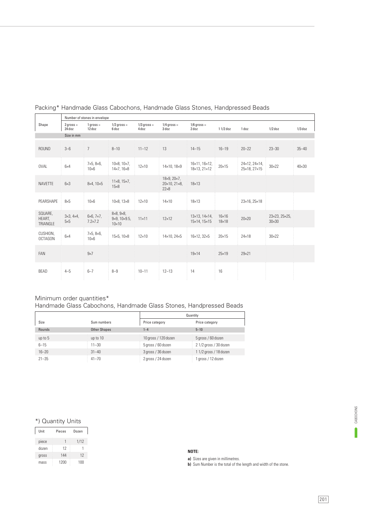|                               | Number of stones in envelope         |                                             |                                                                       |                        |                                                                        |                                               |                              |                               |                               |              |
|-------------------------------|--------------------------------------|---------------------------------------------|-----------------------------------------------------------------------|------------------------|------------------------------------------------------------------------|-----------------------------------------------|------------------------------|-------------------------------|-------------------------------|--------------|
| Shape                         | $2$ gross =<br>24 doz                | $1$ gross =<br>12 doz                       | $1/2$ gross =<br>6 doz                                                | $1/3$ gross =<br>4 doz | $1/4$ gross =<br>3 doz                                                 | $1/6$ gross =<br>2 doz                        | $11/2$ doz                   | 1 doz                         | $1/2$ doz                     | $1/3$ doz    |
|                               | Size in mm                           |                                             |                                                                       |                        |                                                                        |                                               |                              |                               |                               |              |
| <b>ROUND</b>                  | $3 - 6$                              | 7                                           | $8 - 10$                                                              | $11 - 12$              | 13                                                                     | $14 - 15$                                     | $16 - 19$                    | $20 - 22$                     | $23 - 30$                     | $35 - 40$    |
| <b>OVAL</b>                   | $6\times4$                           | $7\times5, 8\times6,$<br>$10\times 6$       | $10\times8, 10\times7,$<br>$14\times7, 16\times8$                     | $12\times10$           | 14×10, 18×9                                                            | 16×11, 16×12,<br>18×13, 21×12                 | $20\times 15$                | 24×12, 24×14,<br>25×18, 27×15 | $30\times22$                  | $40\times30$ |
| <b>NAVETTE</b>                | $6\times3$                           | $8\times4, 10\times5$                       | $11\times8, 15\times7,$<br>$15\times8$                                |                        | $18\times9, 20\times7,$<br>$20 \times 10, 21 \times 8,$<br>$22\times8$ | $18\times13$                                  |                              |                               |                               |              |
| PEARSHAPE                     | $8\times5$                           | $10\times 6$                                | $10\times8, 13\times8$                                                | $12\times10$           | $14\times10$                                                           | $18\times13$                                  |                              | 23×16, 25×18                  |                               |              |
| SQUARE,<br>HEART,<br>TRIANGLE | $3\times3, 4\times4,$<br>$5\times 5$ | $6\times 6, 7\times 7,$<br>$7.2 \times 7.2$ | $8\times8, 9\times8,$<br>$9\times9$ , $10\times9.5$ ,<br>$10\times10$ | $11\times11$           | $12\times12$                                                           | $13\times13$ , $14\times14$ ,<br>15×14, 15×15 | $16\times16$<br>$18\times18$ | $20\times20$                  | 23×23, 25×25,<br>$30\times30$ |              |
| CUSHION,<br><b>OCTAGON</b>    | $6\times4$                           | $7\times5, 8\times6,$<br>$10\times 6$       | 15×5, 10×8                                                            | $12\times10$           | 14×10, 24×5                                                            | 16×12, 32×5                                   | $20\times15$                 | $24\times18$                  | $30\times22$                  |              |
| FAN                           |                                      | $9\times 7$                                 |                                                                       |                        |                                                                        | $19\times 14$                                 | $25\times19$                 | $29\times21$                  |                               |              |
| <b>BEAD</b>                   | $4 - 5$                              | $6 - 7$                                     | $8 - 9$                                                               | $10 - 11$              | $12 - 13$                                                              | 14                                            | 16                           |                               |                               |              |

#### Packing\* Handmade Glass Cabochons, Handmade Glass Stones, Handpressed Beads

#### Minimum order quantities\*

#### Handmade Glass Cabochons, Handmade Glass Stones, Handpressed Beads

|           |                     | Quantity             |                       |  |
|-----------|---------------------|----------------------|-----------------------|--|
| Size      | Sum numbers         | Price category       | Price category        |  |
| Rounds    | <b>Other Shapes</b> | $1 - 4$              | $5 - 10$              |  |
| up to $5$ | up to 10            | 10 gross / 120 dozen | 5 gross / 60 dozen    |  |
| $6 - 15$  | $11 - 30$           | 5 gross / 60 dozen   | 21/2 gross / 30 dozen |  |
| $16 - 20$ | $31 - 40$           | 3 gross / 36 dozen   | 11/2 gross / 18 dozen |  |
| $21 - 35$ | $41 - 70$           | 2 gross / 24 dozen   | 1 gross / 12 dozen    |  |

#### \*) Quantity Units

| Unit  | Pieces | Dozen |
|-------|--------|-------|
| piece |        | 1/12  |
| dozen | 12     |       |
| gross | 144    | 12    |
| mass  | 1200   | 100   |

#### **NOTE:**

**a)** Sizes are given in millimetres.

**b)** Sum Number is the total of the length and width of the stone.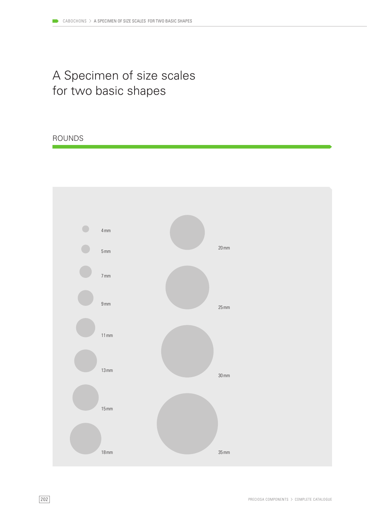# A Specimen of size scales for two basic shapes

#### ROUNDS